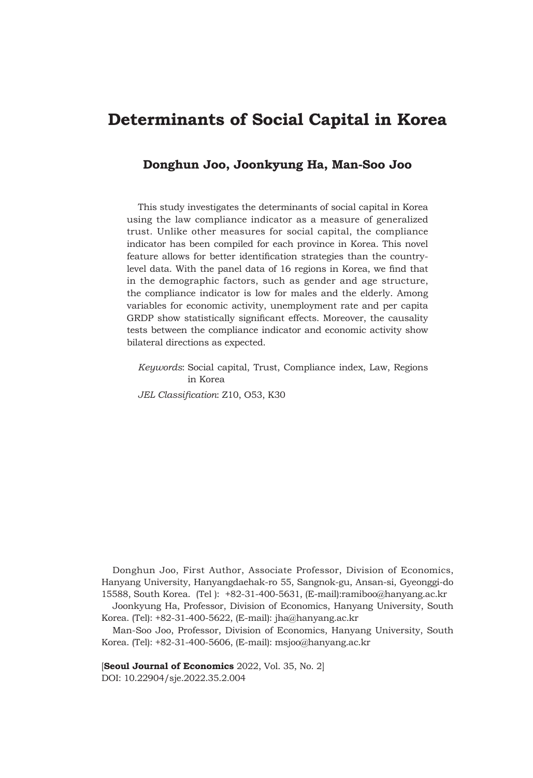# **Determinants of Social Capital in Korea**

# **Donghun Joo, Joonkyung Ha, Man-Soo Joo**

This study investigates the determinants of social capital in Korea using the law compliance indicator as a measure of generalized trust. Unlike other measures for social capital, the compliance indicator has been compiled for each province in Korea. This novel feature allows for better identification strategies than the countrylevel data. With the panel data of 16 regions in Korea, we find that in the demographic factors, such as gender and age structure, the compliance indicator is low for males and the elderly. Among variables for economic activity, unemployment rate and per capita GRDP show statistically significant effects. Moreover, the causality tests between the compliance indicator and economic activity show bilateral directions as expected.

*Keywords*: Social capital, Trust, Compliance index, Law, Regions in Korea *JEL Classification*: Z10, O53, K30

Donghun Joo, First Author, Associate Professor, Division of Economics, Hanyang University, Hanyangdaehak-ro 55, Sangnok-gu, Ansan-si, Gyeonggi-do 15588, South Korea. (Tel ): +82-31-400-5631, (E-mail):ramiboo@hanyang.ac.kr

Joonkyung Ha, Professor, Division of Economics, Hanyang University, South Korea. (Tel): +82-31-400-5622, (E-mail): jha@hanyang.ac.kr

Man-Soo Joo, Professor, Division of Economics, Hanyang University, South Korea. (Tel): +82-31-400-5606, (E-mail): msjoo@hanyang.ac.kr

[**Seoul Journal of Economics** 2022, Vol. 35, No. 2] DOI: 10.22904/sje.2022.35.2.004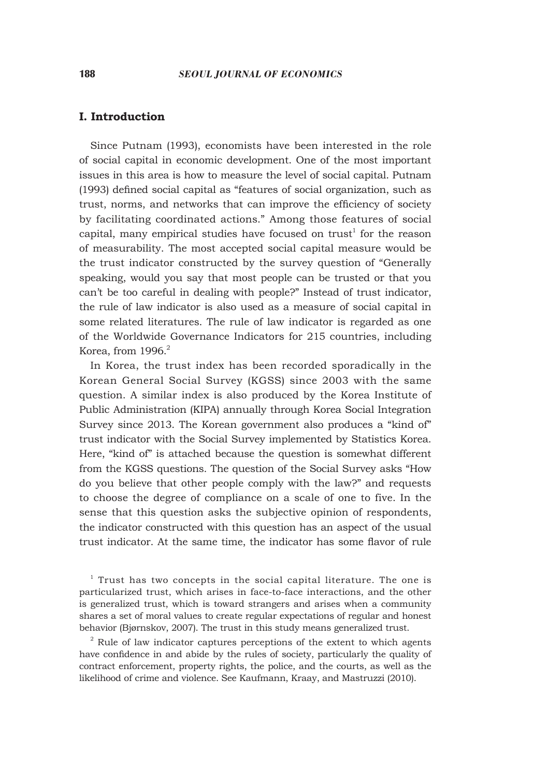## **I. Introduction**

Since Putnam (1993), economists have been interested in the role of social capital in economic development. One of the most important issues in this area is how to measure the level of social capital. Putnam (1993) defined social capital as "features of social organization, such as trust, norms, and networks that can improve the efficiency of society by facilitating coordinated actions." Among those features of social capital, many empirical studies have focused on  $trust<sup>1</sup>$  for the reason of measurability. The most accepted social capital measure would be the trust indicator constructed by the survey question of "Generally speaking, would you say that most people can be trusted or that you can't be too careful in dealing with people?" Instead of trust indicator, the rule of law indicator is also used as a measure of social capital in some related literatures. The rule of law indicator is regarded as one of the Worldwide Governance Indicators for 215 countries, including Korea, from  $1996.<sup>2</sup>$ 

In Korea, the trust index has been recorded sporadically in the Korean General Social Survey (KGSS) since 2003 with the same question. A similar index is also produced by the Korea Institute of Public Administration (KIPA) annually through Korea Social Integration Survey since 2013. The Korean government also produces a "kind of" trust indicator with the Social Survey implemented by Statistics Korea. Here, "kind of" is attached because the question is somewhat different from the KGSS questions. The question of the Social Survey asks "How do you believe that other people comply with the law?" and requests to choose the degree of compliance on a scale of one to five. In the sense that this question asks the subjective opinion of respondents, the indicator constructed with this question has an aspect of the usual trust indicator. At the same time, the indicator has some flavor of rule

 $1$  Trust has two concepts in the social capital literature. The one is particularized trust, which arises in face-to-face interactions, and the other is generalized trust, which is toward strangers and arises when a community shares a set of moral values to create regular expectations of regular and honest behavior (Bjørnskov, 2007). The trust in this study means generalized trust.

 $2^2$  Rule of law indicator captures perceptions of the extent to which agents have confidence in and abide by the rules of society, particularly the quality of contract enforcement, property rights, the police, and the courts, as well as the likelihood of crime and violence. See Kaufmann, Kraay, and Mastruzzi (2010).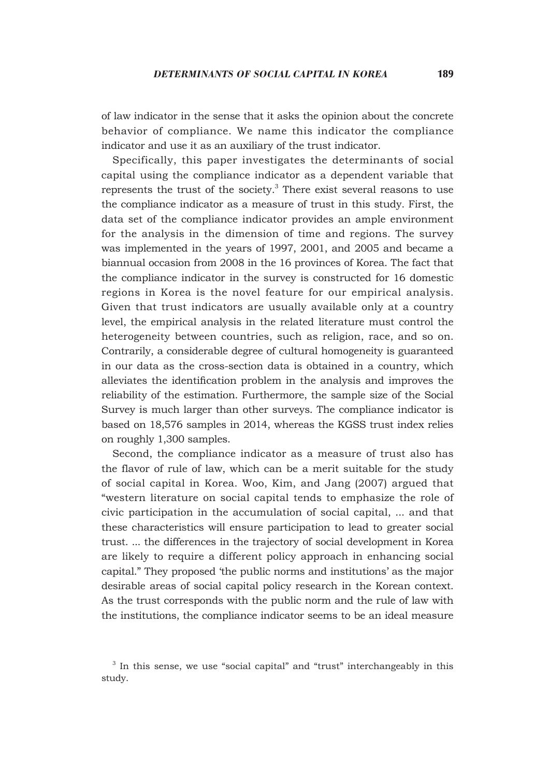of law indicator in the sense that it asks the opinion about the concrete behavior of compliance. We name this indicator the compliance indicator and use it as an auxiliary of the trust indicator.

Specifically, this paper investigates the determinants of social capital using the compliance indicator as a dependent variable that represents the trust of the society. $3$  There exist several reasons to use the compliance indicator as a measure of trust in this study. First, the data set of the compliance indicator provides an ample environment for the analysis in the dimension of time and regions. The survey was implemented in the years of 1997, 2001, and 2005 and became a biannual occasion from 2008 in the 16 provinces of Korea. The fact that the compliance indicator in the survey is constructed for 16 domestic regions in Korea is the novel feature for our empirical analysis. Given that trust indicators are usually available only at a country level, the empirical analysis in the related literature must control the heterogeneity between countries, such as religion, race, and so on. Contrarily, a considerable degree of cultural homogeneity is guaranteed in our data as the cross-section data is obtained in a country, which alleviates the identification problem in the analysis and improves the reliability of the estimation. Furthermore, the sample size of the Social Survey is much larger than other surveys. The compliance indicator is based on 18,576 samples in 2014, whereas the KGSS trust index relies on roughly 1,300 samples.

Second, the compliance indicator as a measure of trust also has the flavor of rule of law, which can be a merit suitable for the study of social capital in Korea. Woo, Kim, and Jang (2007) argued that "western literature on social capital tends to emphasize the role of civic participation in the accumulation of social capital, ... and that these characteristics will ensure participation to lead to greater social trust. ... the differences in the trajectory of social development in Korea are likely to require a different policy approach in enhancing social capital." They proposed 'the public norms and institutions' as the major desirable areas of social capital policy research in the Korean context. As the trust corresponds with the public norm and the rule of law with the institutions, the compliance indicator seems to be an ideal measure

<sup>&</sup>lt;sup>3</sup> In this sense, we use "social capital" and "trust" interchangeably in this study.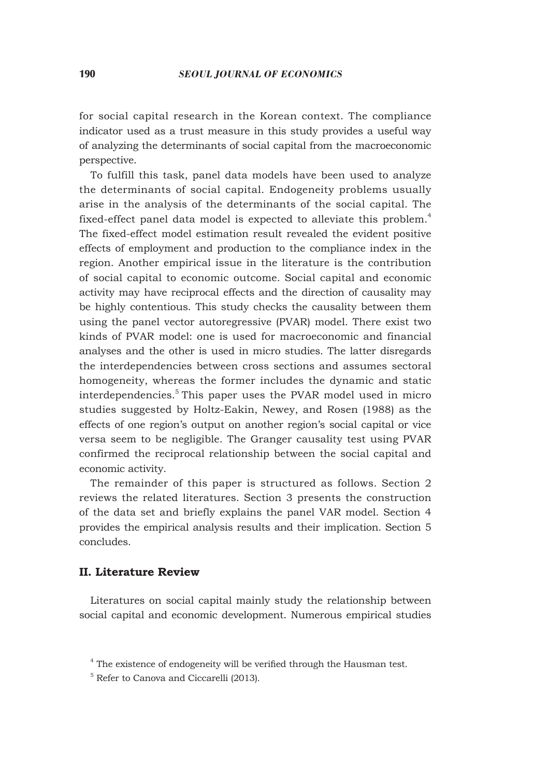for social capital research in the Korean context. The compliance indicator used as a trust measure in this study provides a useful way of analyzing the determinants of social capital from the macroeconomic perspective.

To fulfill this task, panel data models have been used to analyze the determinants of social capital. Endogeneity problems usually arise in the analysis of the determinants of the social capital. The fixed-effect panel data model is expected to alleviate this problem.<sup>4</sup> The fixed-effect model estimation result revealed the evident positive effects of employment and production to the compliance index in the region. Another empirical issue in the literature is the contribution of social capital to economic outcome. Social capital and economic activity may have reciprocal effects and the direction of causality may be highly contentious. This study checks the causality between them using the panel vector autoregressive (PVAR) model. There exist two kinds of PVAR model: one is used for macroeconomic and financial analyses and the other is used in micro studies. The latter disregards the interdependencies between cross sections and assumes sectoral homogeneity, whereas the former includes the dynamic and static interdependencies.<sup>5</sup> This paper uses the PVAR model used in micro studies suggested by Holtz-Eakin, Newey, and Rosen (1988) as the effects of one region's output on another region's social capital or vice versa seem to be negligible. The Granger causality test using PVAR confirmed the reciprocal relationship between the social capital and economic activity.

The remainder of this paper is structured as follows. Section 2 reviews the related literatures. Section 3 presents the construction of the data set and briefly explains the panel VAR model. Section 4 provides the empirical analysis results and their implication. Section 5 concludes.

# **II. Literature Review**

Literatures on social capital mainly study the relationship between social capital and economic development. Numerous empirical studies

<sup>&</sup>lt;sup>4</sup> The existence of endogeneity will be verified through the Hausman test.

<sup>5</sup> Refer to Canova and Ciccarelli (2013).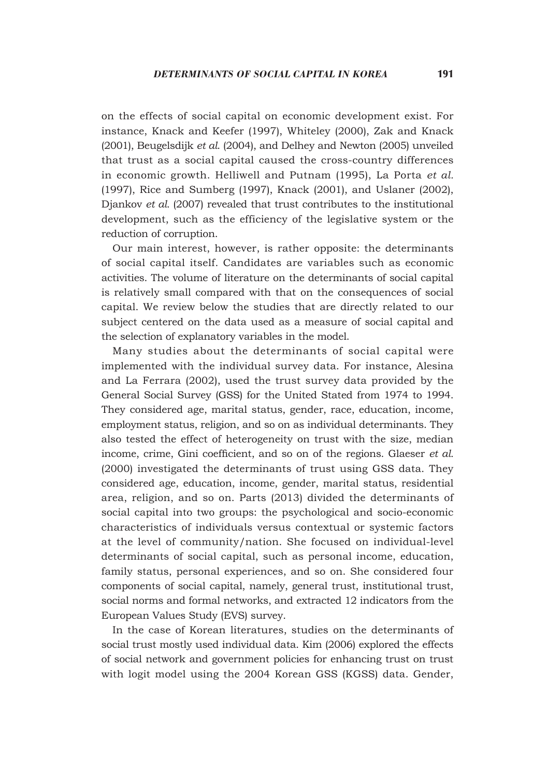on the effects of social capital on economic development exist. For instance, Knack and Keefer (1997), Whiteley (2000), Zak and Knack (2001), Beugelsdijk *et al*. (2004), and Delhey and Newton (2005) unveiled that trust as a social capital caused the cross-country differences in economic growth. Helliwell and Putnam (1995), La Porta *et al.* (1997), Rice and Sumberg (1997), Knack (2001), and Uslaner (2002), Djankov *et al.* (2007) revealed that trust contributes to the institutional development, such as the efficiency of the legislative system or the reduction of corruption.

Our main interest, however, is rather opposite: the determinants of social capital itself. Candidates are variables such as economic activities. The volume of literature on the determinants of social capital is relatively small compared with that on the consequences of social capital. We review below the studies that are directly related to our subject centered on the data used as a measure of social capital and the selection of explanatory variables in the model.

Many studies about the determinants of social capital were implemented with the individual survey data. For instance, Alesina and La Ferrara (2002), used the trust survey data provided by the General Social Survey (GSS) for the United Stated from 1974 to 1994. They considered age, marital status, gender, race, education, income, employment status, religion, and so on as individual determinants. They also tested the effect of heterogeneity on trust with the size, median income, crime, Gini coefficient, and so on of the regions. Glaeser *et al.* (2000) investigated the determinants of trust using GSS data. They considered age, education, income, gender, marital status, residential area, religion, and so on. Parts (2013) divided the determinants of social capital into two groups: the psychological and socio-economic characteristics of individuals versus contextual or systemic factors at the level of community/nation. She focused on individual-level determinants of social capital, such as personal income, education, family status, personal experiences, and so on. She considered four components of social capital, namely, general trust, institutional trust, social norms and formal networks, and extracted 12 indicators from the European Values Study (EVS) survey.

In the case of Korean literatures, studies on the determinants of social trust mostly used individual data. Kim (2006) explored the effects of social network and government policies for enhancing trust on trust with logit model using the 2004 Korean GSS (KGSS) data. Gender,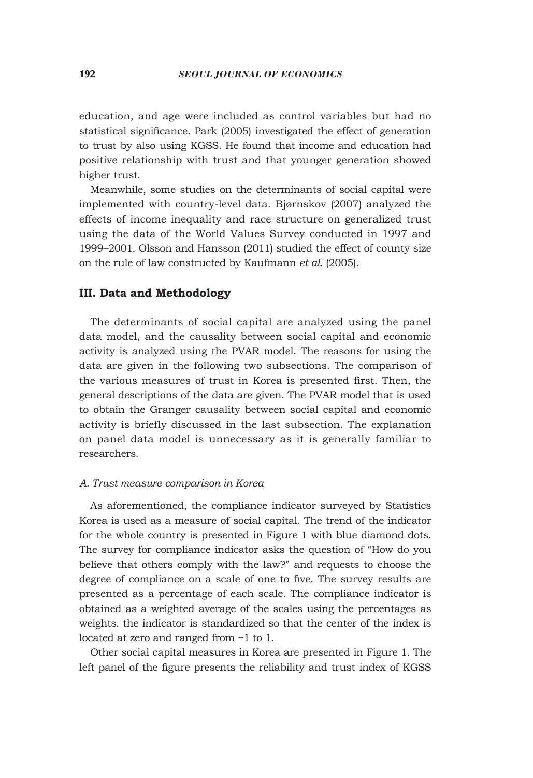education, and age were included as control variables but had no statistical significance. Park (2005) investigated the effect of generation to trust by also using KGSS. He found that income and education had positive relationship with trust and that younger generation showed higher trust.

Meanwhile, some studies on the determinants of social capital were implemented with country-level data. Bjørnskov (2007) analyzed the effects of income inequality and race structure on generalized trust using the data of the World Values Survey conducted in 1997 and 1999–2001. Olsson and Hansson (2011) studied the effect of county size on the rule of law constructed by Kaufmann *et al*. (2005).

# **III. Data and Methodology**

The determinants of social capital are analyzed using the panel data model, and the causality between social capital and economic activity is analyzed using the PVAR model. The reasons for using the data are given in the following two subsections. The comparison of the various measures of trust in Korea is presented first. Then, the general descriptions of the data are given. The PVAR model that is used to obtain the Granger causality between social capital and economic activity is briefly discussed in the last subsection. The explanation on panel data model is unnecessary as it is generally familiar to researchers.

#### *A. Trust measure comparison in Korea*

As aforementioned, the compliance indicator surveyed by Statistics Korea is used as a measure of social capital. The trend of the indicator for the whole country is presented in Figure 1 with blue diamond dots. The survey for compliance indicator asks the question of "How do you believe that others comply with the law?" and requests to choose the degree of compliance on a scale of one to five. The survey results are presented as a percentage of each scale. The compliance indicator is obtained as a weighted average of the scales using the percentages as weights. the indicator is standardized so that the center of the index is located at zero and ranged from −1 to 1.

Other social capital measures in Korea are presented in Figure 1. The left panel of the figure presents the reliability and trust index of KGSS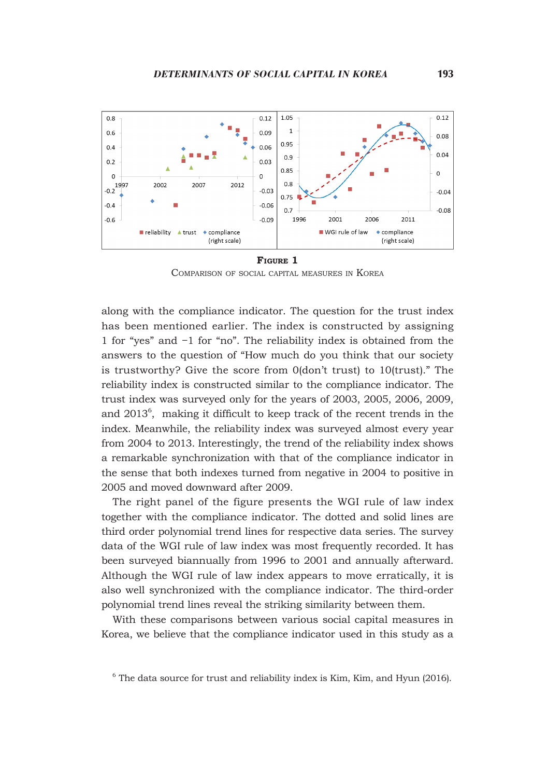

**Figure 1** Comparison of social capital measures in Korea

along with the compliance indicator. The question for the trust index has been mentioned earlier. The index is constructed by assigning 1 for "yes" and −1 for "no". The reliability index is obtained from the answers to the question of "How much do you think that our society is trustworthy? Give the score from 0(don't trust) to 10(trust)." The reliability index is constructed similar to the compliance indicator. The trust index was surveyed only for the years of 2003, 2005, 2006, 2009, and  $2013^6$ , making it difficult to keep track of the recent trends in the index. Meanwhile, the reliability index was surveyed almost every year from 2004 to 2013. Interestingly, the trend of the reliability index shows a remarkable synchronization with that of the compliance indicator in the sense that both indexes turned from negative in 2004 to positive in 2005 and moved downward after 2009.

The right panel of the figure presents the WGI rule of law index together with the compliance indicator. The dotted and solid lines are third order polynomial trend lines for respective data series. The survey data of the WGI rule of law index was most frequently recorded. It has been surveyed biannually from 1996 to 2001 and annually afterward. Although the WGI rule of law index appears to move erratically, it is also well synchronized with the compliance indicator. The third-order polynomial trend lines reveal the striking similarity between them.

With these comparisons between various social capital measures in Korea, we believe that the compliance indicator used in this study as a

 $6$  The data source for trust and reliability index is Kim, Kim, and Hyun (2016).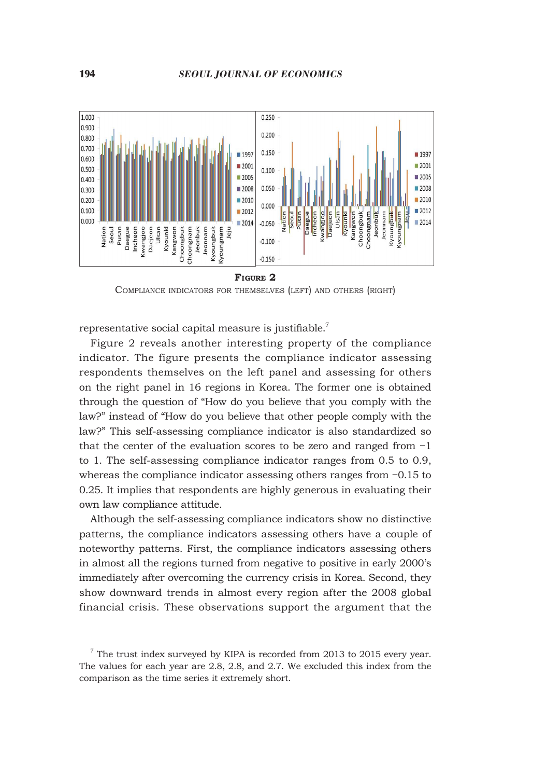

**Figure 2**

Compliance indicators for themselves (left) and others (right)

representative social capital measure is justifiable.<sup>7</sup>

Figure 2 reveals another interesting property of the compliance indicator. The figure presents the compliance indicator assessing respondents themselves on the left panel and assessing for others on the right panel in 16 regions in Korea. The former one is obtained through the question of "How do you believe that you comply with the law?" instead of "How do you believe that other people comply with the law?" This self-assessing compliance indicator is also standardized so that the center of the evaluation scores to be zero and ranged from −1 to 1. The self-assessing compliance indicator ranges from 0.5 to 0.9, whereas the compliance indicator assessing others ranges from −0.15 to 0.25. It implies that respondents are highly generous in evaluating their own law compliance attitude.

Although the self-assessing compliance indicators show no distinctive patterns, the compliance indicators assessing others have a couple of noteworthy patterns. First, the compliance indicators assessing others in almost all the regions turned from negative to positive in early 2000's immediately after overcoming the currency crisis in Korea. Second, they show downward trends in almost every region after the 2008 global financial crisis. These observations support the argument that the

 $7$  The trust index surveyed by KIPA is recorded from 2013 to 2015 every year. The values for each year are 2.8, 2.8, and 2.7. We excluded this index from the comparison as the time series it extremely short.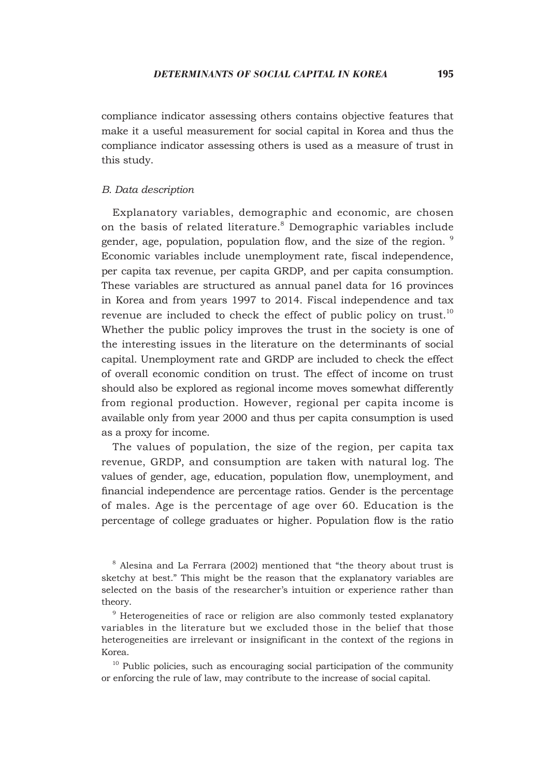compliance indicator assessing others contains objective features that make it a useful measurement for social capital in Korea and thus the compliance indicator assessing others is used as a measure of trust in this study.

### *B. Data description*

Explanatory variables, demographic and economic, are chosen on the basis of related literature.<sup>8</sup> Demographic variables include gender, age, population, population flow, and the size of the region. <sup>9</sup> Economic variables include unemployment rate, fiscal independence, per capita tax revenue, per capita GRDP, and per capita consumption. These variables are structured as annual panel data for 16 provinces in Korea and from years 1997 to 2014. Fiscal independence and tax revenue are included to check the effect of public policy on trust. $10$ Whether the public policy improves the trust in the society is one of the interesting issues in the literature on the determinants of social capital. Unemployment rate and GRDP are included to check the effect of overall economic condition on trust. The effect of income on trust should also be explored as regional income moves somewhat differently from regional production. However, regional per capita income is available only from year 2000 and thus per capita consumption is used as a proxy for income.

The values of population, the size of the region, per capita tax revenue, GRDP, and consumption are taken with natural log. The values of gender, age, education, population flow, unemployment, and financial independence are percentage ratios. Gender is the percentage of males. Age is the percentage of age over 60. Education is the percentage of college graduates or higher. Population flow is the ratio

 $8$  Alesina and La Ferrara (2002) mentioned that "the theory about trust is sketchy at best." This might be the reason that the explanatory variables are selected on the basis of the researcher's intuition or experience rather than theory.

<sup>9</sup> Heterogeneities of race or religion are also commonly tested explanatory variables in the literature but we excluded those in the belief that those heterogeneities are irrelevant or insignificant in the context of the regions in Korea.

<sup>10</sup> Public policies, such as encouraging social participation of the community or enforcing the rule of law, may contribute to the increase of social capital.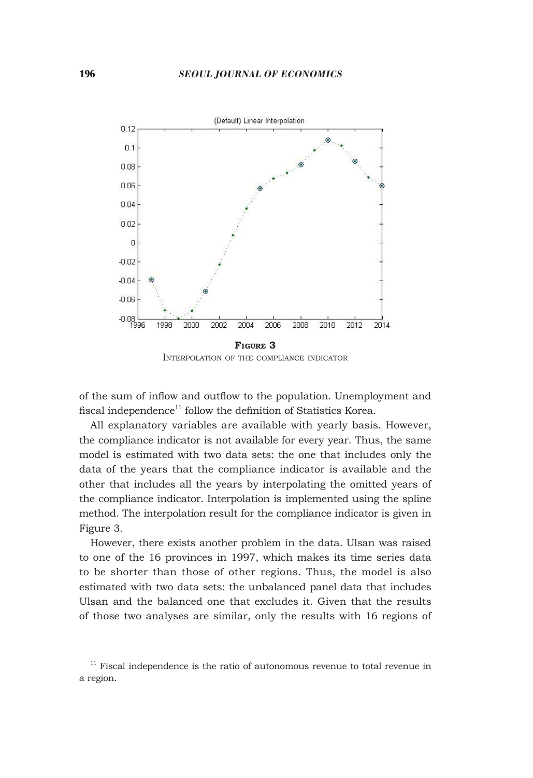

Interpolation of the compliance indicator

of the sum of inflow and outflow to the population. Unemployment and fiscal independence<sup>11</sup> follow the definition of Statistics Korea.

All explanatory variables are available with yearly basis. However, the compliance indicator is not available for every year. Thus, the same model is estimated with two data sets: the one that includes only the data of the years that the compliance indicator is available and the other that includes all the years by interpolating the omitted years of the compliance indicator. Interpolation is implemented using the spline method. The interpolation result for the compliance indicator is given in Figure 3.

However, there exists another problem in the data. Ulsan was raised to one of the 16 provinces in 1997, which makes its time series data to be shorter than those of other regions. Thus, the model is also estimated with two data sets: the unbalanced panel data that includes Ulsan and the balanced one that excludes it. Given that the results of those two analyses are similar, only the results with 16 regions of

 $11$  Fiscal independence is the ratio of autonomous revenue to total revenue in a region.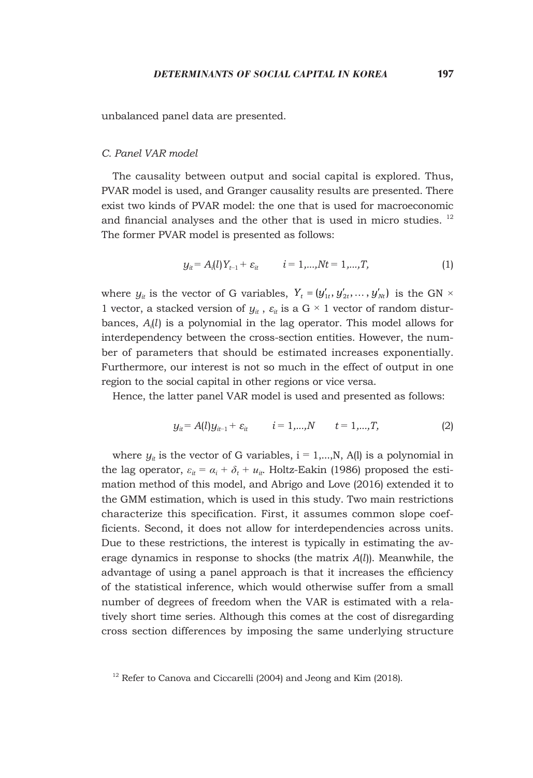unbalanced panel data are presented.

#### *C. Panel VAR model*

The causality between output and social capital is explored. Thus, PVAR model is used, and Granger causality results are presented. There exist two kinds of PVAR model: the one that is used for macroeconomic and financial analyses and the other that is used in micro studies.  $12$ The former PVAR model is presented as follows:

$$
y_{it} = A_i(l)Y_{t-1} + \varepsilon_{it} \qquad i = 1,...,Nt = 1,...,T,
$$
 (1)

where  $y_i$  is the vector of G variables,  $Y_t = (y'_{1t}, y'_{2t}, \dots, y'_{Nt})$  is the GN  $\times$ 1 vector, a stacked version of  $y_{it}$ ,  $\varepsilon_{it}$  is a G  $\times$  1 vector of random disturbances, *Ai* (*l*) is a polynomial in the lag operator. This model allows for interdependency between the cross-section entities. However, the number of parameters that should be estimated increases exponentially. Furthermore, our interest is not so much in the effect of output in one region to the social capital in other regions or vice versa.

Hence, the latter panel VAR model is used and presented as follows:

$$
y_{it} = A(l)y_{it-1} + \varepsilon_{it} \qquad i = 1,...,N \qquad t = 1,...,T,
$$
 (2)

where  $y_i$  is the vector of G variables,  $i = 1,...,N$ , A(l) is a polynomial in the lag operator,  $\varepsilon_{it} = \alpha_i + \delta_t + u_{it}$ . Holtz-Eakin (1986) proposed the estimation method of this model, and Abrigo and Love (2016) extended it to the GMM estimation, which is used in this study. Two main restrictions characterize this specification. First, it assumes common slope coefficients. Second, it does not allow for interdependencies across units. Due to these restrictions, the interest is typically in estimating the average dynamics in response to shocks (the matrix *A*(*l*)). Meanwhile, the advantage of using a panel approach is that it increases the efficiency of the statistical inference, which would otherwise suffer from a small number of degrees of freedom when the VAR is estimated with a relatively short time series. Although this comes at the cost of disregarding cross section differences by imposing the same underlying structure

 $12$  Refer to Canova and Ciccarelli (2004) and Jeong and Kim (2018).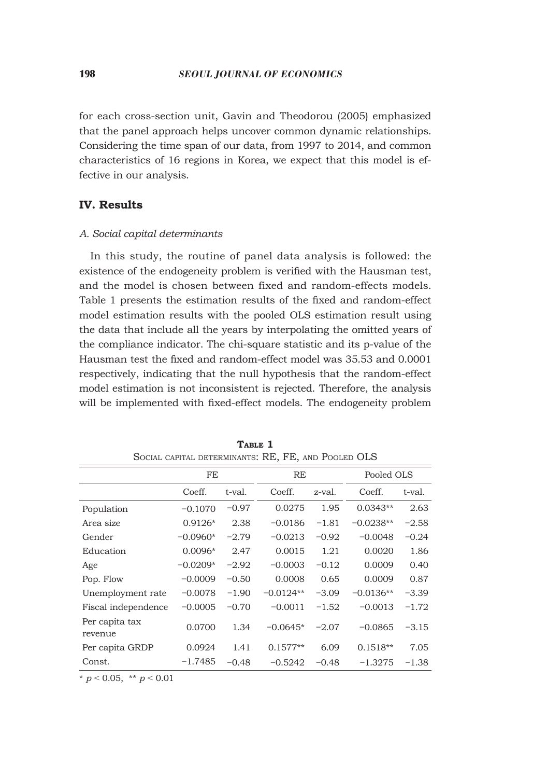for each cross-section unit, Gavin and Theodorou (2005) emphasized that the panel approach helps uncover common dynamic relationships. Considering the time span of our data, from 1997 to 2014, and common characteristics of 16 regions in Korea, we expect that this model is effective in our analysis.

## **IV. Results**

#### *A. Social capital determinants*

In this study, the routine of panel data analysis is followed: the existence of the endogeneity problem is verified with the Hausman test, and the model is chosen between fixed and random-effects models. Table 1 presents the estimation results of the fixed and random-effect model estimation results with the pooled OLS estimation result using the data that include all the years by interpolating the omitted years of the compliance indicator. The chi-square statistic and its p-value of the Hausman test the fixed and random-effect model was 35.53 and 0.0001 respectively, indicating that the null hypothesis that the random-effect model estimation is not inconsistent is rejected. Therefore, the analysis will be implemented with fixed-effect models. The endogeneity problem

| OOCIAL CAFITAL DETERMINANTS, IND., I'LI, AND I OOLED OLO |            |         |             |         |             |         |  |  |
|----------------------------------------------------------|------------|---------|-------------|---------|-------------|---------|--|--|
|                                                          | FE         |         | RE          |         | Pooled OLS  |         |  |  |
|                                                          | Coeff.     | t-val.  | Coeff.      | z-val.  | Coeff.      | t-val.  |  |  |
| Population                                               | $-0.1070$  | $-0.97$ | 0.0275      | 1.95    | $0.0343**$  | 2.63    |  |  |
| Area size                                                | $0.9126*$  | 2.38    | $-0.0186$   | $-1.81$ | $-0.0238**$ | $-2.58$ |  |  |
| Gender                                                   | $-0.0960*$ | $-2.79$ | $-0.0213$   | $-0.92$ | $-0.0048$   | $-0.24$ |  |  |
| Education                                                | $0.0096*$  | 2.47    | 0.0015      | 1.21    | 0.0020      | 1.86    |  |  |
| Age                                                      | $-0.0209*$ | $-2.92$ | $-0.0003$   | $-0.12$ | 0.0009      | 0.40    |  |  |
| Pop. Flow                                                | $-0.0009$  | $-0.50$ | 0.0008      | 0.65    | 0.0009      | 0.87    |  |  |
| Unemployment rate                                        | $-0.0078$  | $-1.90$ | $-0.0124**$ | $-3.09$ | $-0.0136**$ | $-3.39$ |  |  |
| Fiscal independence                                      | $-0.0005$  | $-0.70$ | $-0.0011$   | $-1.52$ | $-0.0013$   | $-1.72$ |  |  |
| Per capita tax<br>revenue                                | 0.0700     | 1.34    | $-0.0645*$  | $-2.07$ | $-0.0865$   | $-3.15$ |  |  |
| Per capita GRDP                                          | 0.0924     | 1.41    | $0.1577**$  | 6.09    | $0.1518**$  | 7.05    |  |  |
| Const.                                                   | $-1.7485$  | $-0.48$ | $-0.5242$   | $-0.48$ | $-1.3275$   | $-1.38$ |  |  |

TABLE 1 Social capital determinants: RE, FE, and Pooled OLS

 $*$  *p* < 0.05,  $*$  *p* < 0.01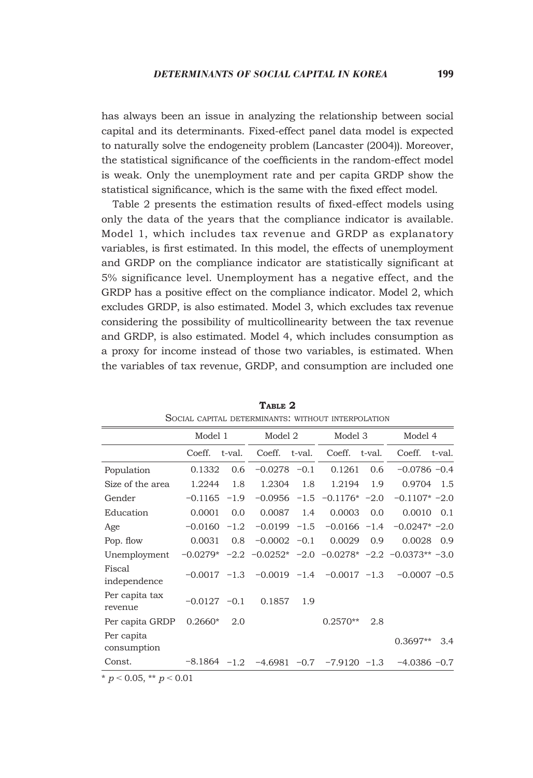has always been an issue in analyzing the relationship between social capital and its determinants. Fixed-effect panel data model is expected to naturally solve the endogeneity problem (Lancaster (2004)). Moreover, the statistical significance of the coefficients in the random-effect model is weak. Only the unemployment rate and per capita GRDP show the statistical significance, which is the same with the fixed effect model.

Table 2 presents the estimation results of fixed-effect models using only the data of the years that the compliance indicator is available. Model 1, which includes tax revenue and GRDP as explanatory variables, is first estimated. In this model, the effects of unemployment and GRDP on the compliance indicator are statistically significant at 5% significance level. Unemployment has a negative effect, and the GRDP has a positive effect on the compliance indicator. Model 2, which excludes GRDP, is also estimated. Model 3, which excludes tax revenue considering the possibility of multicollinearity between the tax revenue and GRDP, is also estimated. Model 4, which includes consumption as a proxy for income instead of those two variables, is estimated. When the variables of tax revenue, GRDP, and consumption are included one

|                           | Model 1        |        | Model 2        |     | Model 3                                            |        | Model 4                                                          |        |
|---------------------------|----------------|--------|----------------|-----|----------------------------------------------------|--------|------------------------------------------------------------------|--------|
|                           | Coeff.         | t-val. | Coeff. t-val.  |     | Coeff.                                             | t-val. | Coeff.                                                           | t-val. |
| Population                | 0.1332         | 0.6    | $-0.0278 -0.1$ |     | 0.1261                                             | 0.6    | $-0.0786 - 0.4$                                                  |        |
| Size of the area          | 1.2244         | 1.8    | 1.2304         | 1.8 | 1.2194                                             | 1.9    | 0.9704                                                           | 1.5    |
| Gender                    | $-0.1165$      | $-1.9$ | $-0.0956 -1.5$ |     | $-0.1176* -2.0$                                    |        | $-0.1107* -2.0$                                                  |        |
| Education                 | 0.0001         | 0.0    | 0.0087         | 1.4 | 0.0003                                             | 0.0    | 0.0010                                                           | 0.1    |
| Age                       | $-0.0160$      | $-1.2$ | $-0.0199 -1.5$ |     | $-0.0166 -1.4$                                     |        | $-0.0247* -2.0$                                                  |        |
| Pop. flow                 | 0.0031         | 0.8    | $-0.0002 -0.1$ |     | 0.0029                                             | 0.9    | 0.0028                                                           | 0.9    |
| Unemployment              | $-0.0279*$     |        |                |     |                                                    |        | $-2.2$ $-0.0252$ * $-2.0$ $-0.0278$ * $-2.2$ $-0.0373$ ** $-3.0$ |        |
| Fiscal<br>independence    | $-0.0017 -1.3$ |        |                |     | $-0.0019$ $-1.4$ $-0.0017$ $-1.3$                  |        | $-0.0007 -0.5$                                                   |        |
| Per capita tax<br>revenue | $-0.0127 -0.1$ |        | 0.1857         | 1.9 |                                                    |        |                                                                  |        |
| Per capita GRDP           | $0.2660*$      | 2.0    |                |     | $0.2570**$                                         | 2.8    |                                                                  |        |
| Per capita<br>consumption |                |        |                |     |                                                    |        | $0.3697**$                                                       | 3.4    |
| Const.                    |                |        |                |     | $-8.1864$ $-1.2$ $-4.6981$ $-0.7$ $-7.9120$ $-1.3$ |        | $-4.0386 -0.7$                                                   |        |

**Table 2** Social capital determinants: without interpolation

 $p < 0.05$ , \*\*  $p < 0.01$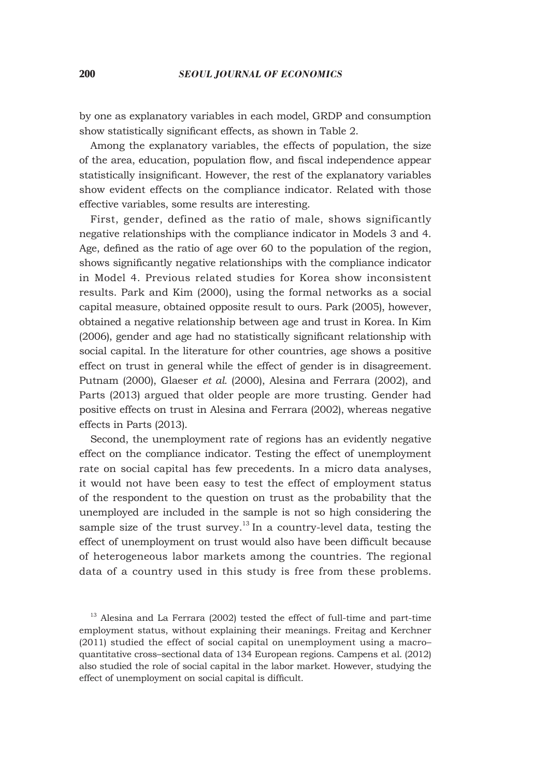#### 200 *SEOUL JOURNAL OF ECONOMICS*

by one as explanatory variables in each model, GRDP and consumption show statistically significant effects, as shown in Table 2.

Among the explanatory variables, the effects of population, the size of the area, education, population flow, and fiscal independence appear statistically insignificant. However, the rest of the explanatory variables show evident effects on the compliance indicator. Related with those effective variables, some results are interesting.

First, gender, defined as the ratio of male, shows significantly negative relationships with the compliance indicator in Models 3 and 4. Age, defined as the ratio of age over 60 to the population of the region, shows significantly negative relationships with the compliance indicator in Model 4. Previous related studies for Korea show inconsistent results. Park and Kim (2000), using the formal networks as a social capital measure, obtained opposite result to ours. Park (2005), however, obtained a negative relationship between age and trust in Korea. In Kim (2006), gender and age had no statistically significant relationship with social capital. In the literature for other countries, age shows a positive effect on trust in general while the effect of gender is in disagreement. Putnam (2000), Glaeser *et al.* (2000), Alesina and Ferrara (2002), and Parts (2013) argued that older people are more trusting. Gender had positive effects on trust in Alesina and Ferrara (2002), whereas negative effects in Parts (2013).

Second, the unemployment rate of regions has an evidently negative effect on the compliance indicator. Testing the effect of unemployment rate on social capital has few precedents. In a micro data analyses, it would not have been easy to test the effect of employment status of the respondent to the question on trust as the probability that the unemployed are included in the sample is not so high considering the sample size of the trust survey.<sup>13</sup> In a country-level data, testing the effect of unemployment on trust would also have been difficult because of heterogeneous labor markets among the countries. The regional data of a country used in this study is free from these problems.

<sup>&</sup>lt;sup>13</sup> Alesina and La Ferrara (2002) tested the effect of full-time and part-time employment status, without explaining their meanings. Freitag and Kerchner (2011) studied the effect of social capital on unemployment using a macro– quantitative cross–sectional data of 134 European regions. Campens et al. (2012) also studied the role of social capital in the labor market. However, studying the effect of unemployment on social capital is difficult.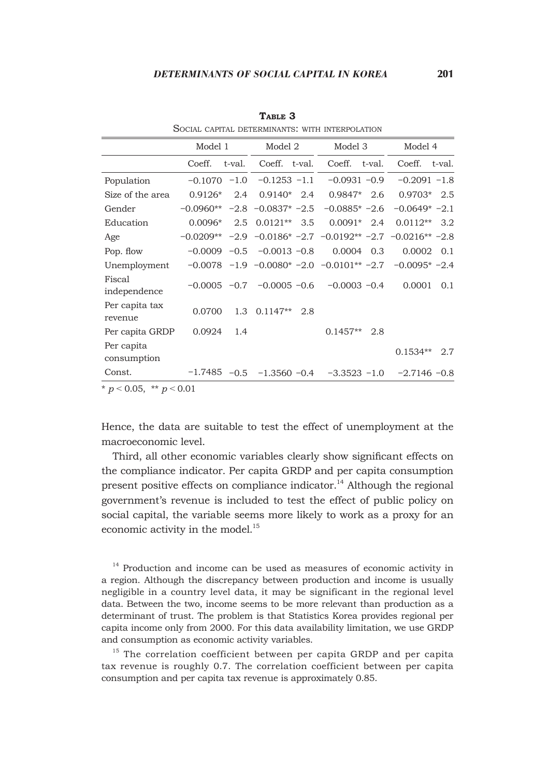|                           | Model 1        |        | Model 2                                               |     | Model 3          |        | Model 4                                                        |     |
|---------------------------|----------------|--------|-------------------------------------------------------|-----|------------------|--------|----------------------------------------------------------------|-----|
|                           | Coeff.         | t-val. | Coeff. t-val.                                         |     | Coeff.           | t-val. | Coeff. t-val.                                                  |     |
| Population                | $-0.1070 -1.0$ |        | $-0.1253 -1.1$                                        |     | $-0.0931 - 0.9$  |        | $-0.2091 -1.8$                                                 |     |
| Size of the area          | $0.9126*$      | 2.4    | $0.9140*$ 2.4                                         |     | $0.9847*$        | 2.6    | $0.9703*$ 2.5                                                  |     |
| Gender                    | $-0.0960**$    |        | $-2.8$ $-0.0837*$ $-2.5$                              |     | $-0.0885* -2.6$  |        | $-0.0649* -2.1$                                                |     |
| Education                 | $0.0096*$      | 2.5    | $0.0121**$                                            | 3.5 | $0.0091*$        | 2.4    | $0.0112**$                                                     | 3.2 |
| Age                       | $-0.0209**$    |        |                                                       |     |                  |        | $-2.9$ $-0.0186*$ $-2.7$ $-0.0192**$ $-2.7$ $-0.0216**$ $-2.8$ |     |
| Pop. flow                 | $-0.0009 -0.5$ |        | $-0.0013 -0.8$                                        |     | 0.0004           | 0.3    | 0.0002                                                         | 0.1 |
| Unemployment              |                |        | $-0.0078$ $-1.9$ $-0.0080*$ $-2.0$ $-0.0101**$ $-2.7$ |     |                  |        | $-0.0095* -2.4$                                                |     |
| Fiscal<br>independence    |                |        | $-0.0005$ $-0.7$ $-0.0005$ $-0.6$                     |     | $-0.0003 -0.4$   |        | 0.0001                                                         | 0.1 |
| Per capita tax<br>revenue | 0.0700         |        | $1.3$ 0.1147**                                        | 2.8 |                  |        |                                                                |     |
| Per capita GRDP           | 0.0924         | 1.4    |                                                       |     | $0.1457**$       | 2.8    |                                                                |     |
| Per capita<br>consumption |                |        |                                                       |     |                  |        | $0.1534**$                                                     | 2.7 |
| Const.                    | $-1.7485 -0.5$ |        | $-1.3560 -0.4$                                        |     | $-3.3523$ $-1.0$ |        | $-2.7146 -0.8$                                                 |     |

**Table 3** Social capital determinants: with interpolation

Hence, the data are suitable to test the effect of unemployment at the macroeconomic level.

Third, all other economic variables clearly show significant effects on the compliance indicator. Per capita GRDP and per capita consumption present positive effects on compliance indicator.<sup>14</sup> Although the regional government's revenue is included to test the effect of public policy on social capital, the variable seems more likely to work as a proxy for an economic activity in the model.<sup>15</sup>

<sup>14</sup> Production and income can be used as measures of economic activity in a region. Although the discrepancy between production and income is usually negligible in a country level data, it may be significant in the regional level data. Between the two, income seems to be more relevant than production as a determinant of trust. The problem is that Statistics Korea provides regional per capita income only from 2000. For this data availability limitation, we use GRDP and consumption as economic activity variables.

<sup>15</sup> The correlation coefficient between per capita GRDP and per capita tax revenue is roughly 0.7. The correlation coefficient between per capita consumption and per capita tax revenue is approximately 0.85.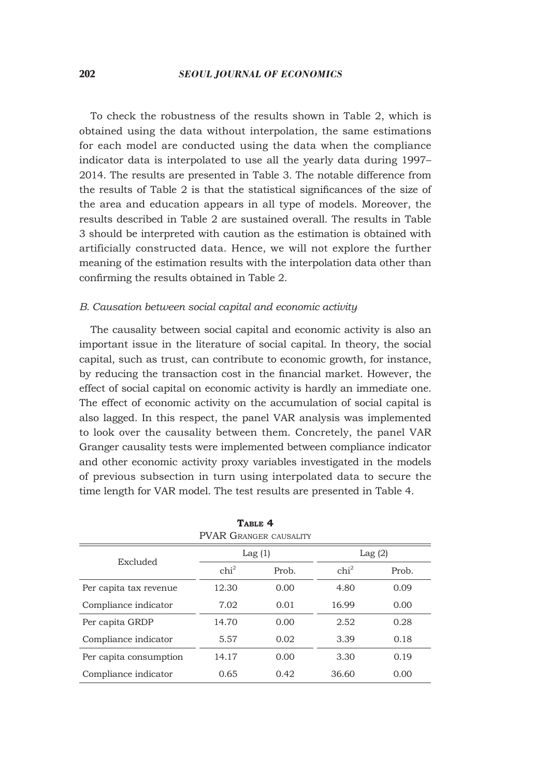To check the robustness of the results shown in Table 2, which is obtained using the data without interpolation, the same estimations for each model are conducted using the data when the compliance indicator data is interpolated to use all the yearly data during 1997– 2014. The results are presented in Table 3. The notable difference from the results of Table 2 is that the statistical significances of the size of the area and education appears in all type of models. Moreover, the results described in Table 2 are sustained overall. The results in Table 3 should be interpreted with caution as the estimation is obtained with artificially constructed data. Hence, we will not explore the further meaning of the estimation results with the interpolation data other than confirming the results obtained in Table 2.

## *B. Causation between social capital and economic activity*

The causality between social capital and economic activity is also an important issue in the literature of social capital. In theory, the social capital, such as trust, can contribute to economic growth, for instance, by reducing the transaction cost in the financial market. However, the effect of social capital on economic activity is hardly an immediate one. The effect of economic activity on the accumulation of social capital is also lagged. In this respect, the panel VAR analysis was implemented to look over the causality between them. Concretely, the panel VAR Granger causality tests were implemented between compliance indicator and other economic activity proxy variables investigated in the models of previous subsection in turn using interpolated data to secure the time length for VAR model. The test results are presented in Table 4.

| <b>PVAR GRANGER CAUSALITY</b> |                  |        |                  |       |  |  |  |
|-------------------------------|------------------|--------|------------------|-------|--|--|--|
| Excluded                      |                  | Lag(1) | Lag(2)           |       |  |  |  |
|                               | chi <sup>2</sup> | Prob.  | chi <sup>2</sup> | Prob. |  |  |  |
| Per capita tax revenue        | 12.30            | 0.00   | 4.80             | 0.09  |  |  |  |
| Compliance indicator          | 7.02             | 0.01   | 16.99            | 0.00  |  |  |  |
| Per capita GRDP               | 14.70            | 0.00   | 2.52             | 0.28  |  |  |  |
| Compliance indicator          | 5.57             | 0.02   | 3.39             | 0.18  |  |  |  |
| Per capita consumption        | 14.17            | 0.00   | 3.30             | 0.19  |  |  |  |
| Compliance indicator          | 0.65             | 0.42   | 36.60            | 0.00  |  |  |  |

**Table 4**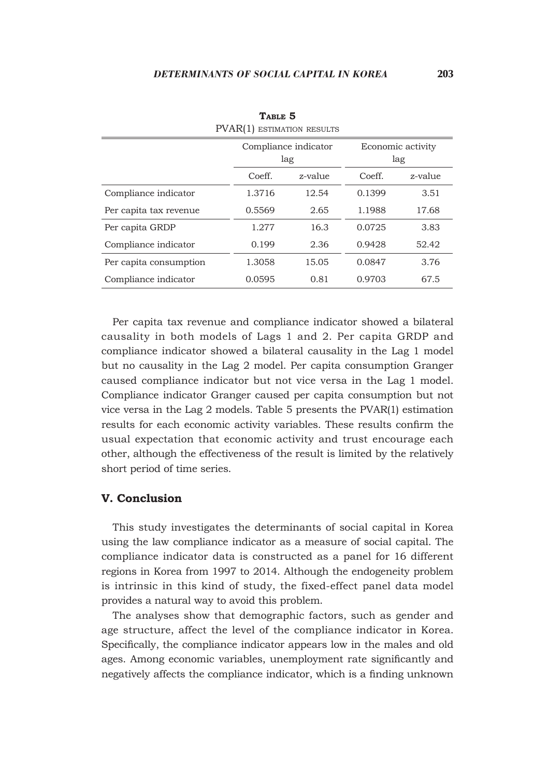|                        |        | Compliance indicator<br>lag | Economic activity<br>lag |         |  |
|------------------------|--------|-----------------------------|--------------------------|---------|--|
|                        | Coeff. | z-value                     | Coeff.                   | z-value |  |
| Compliance indicator   | 1.3716 | 12.54                       | 0.1399                   | 3.51    |  |
| Per capita tax revenue | 0.5569 | 2.65                        | 1.1988                   | 17.68   |  |
| Per capita GRDP        | 1.277  | 16.3                        | 0.0725                   | 3.83    |  |
| Compliance indicator   | 0.199  | 2.36                        | 0.9428                   | 52.42   |  |
| Per capita consumption | 1.3058 | 15.05                       | 0.0847                   | 3.76    |  |
| Compliance indicator   | 0.0595 | 0.81                        | 0.9703                   | 67.5    |  |

**Table 5** PVAR(1) ESTIMATION RESULTS

Per capita tax revenue and compliance indicator showed a bilateral causality in both models of Lags 1 and 2. Per capita GRDP and compliance indicator showed a bilateral causality in the Lag 1 model but no causality in the Lag 2 model. Per capita consumption Granger caused compliance indicator but not vice versa in the Lag 1 model. Compliance indicator Granger caused per capita consumption but not vice versa in the Lag 2 models. Table 5 presents the PVAR(1) estimation results for each economic activity variables. These results confirm the usual expectation that economic activity and trust encourage each other, although the effectiveness of the result is limited by the relatively short period of time series.

#### **V. Conclusion**

This study investigates the determinants of social capital in Korea using the law compliance indicator as a measure of social capital. The compliance indicator data is constructed as a panel for 16 different regions in Korea from 1997 to 2014. Although the endogeneity problem is intrinsic in this kind of study, the fixed-effect panel data model provides a natural way to avoid this problem.

The analyses show that demographic factors, such as gender and age structure, affect the level of the compliance indicator in Korea. Specifically, the compliance indicator appears low in the males and old ages. Among economic variables, unemployment rate significantly and negatively affects the compliance indicator, which is a finding unknown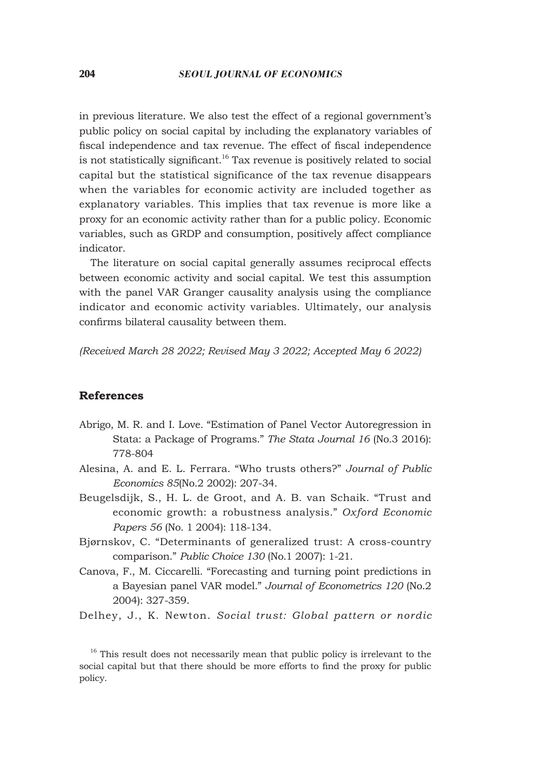in previous literature. We also test the effect of a regional government's public policy on social capital by including the explanatory variables of fiscal independence and tax revenue. The effect of fiscal independence is not statistically significant.<sup>16</sup> Tax revenue is positively related to social capital but the statistical significance of the tax revenue disappears when the variables for economic activity are included together as explanatory variables. This implies that tax revenue is more like a proxy for an economic activity rather than for a public policy. Economic variables, such as GRDP and consumption, positively affect compliance indicator.

The literature on social capital generally assumes reciprocal effects between economic activity and social capital. We test this assumption with the panel VAR Granger causality analysis using the compliance indicator and economic activity variables. Ultimately, our analysis confirms bilateral causality between them.

*(Received March 28 2022; Revised May 3 2022; Accepted May 6 2022)*

# **References**

- Abrigo, M. R. and I. Love. "Estimation of Panel Vector Autoregression in Stata: a Package of Programs." *The Stata Journal 16* (No.3 2016): 778-804
- Alesina, A. and E. L. Ferrara. "Who trusts others?" *Journal of Public Economics 85*(No.2 2002): 207-34.
- Beugelsdijk, S., H. L. de Groot, and A. B. van Schaik. "Trust and economic growth: a robustness analysis." *Oxford Economic Papers 56* (No. 1 2004): 118-134.
- Bjørnskov, C. "Determinants of generalized trust: A cross-country comparison." *Public Choice 130* (No.1 2007): 1-21.
- Canova, F., M. Ciccarelli. "Forecasting and turning point predictions in a Bayesian panel VAR model." *Journal of Econometrics 120* (No.2 2004): 327-359.
- Delhey, J., K. Newton. *Social trust: Global pattern or nordic*

<sup>16</sup> This result does not necessarily mean that public policy is irrelevant to the social capital but that there should be more efforts to find the proxy for public policy.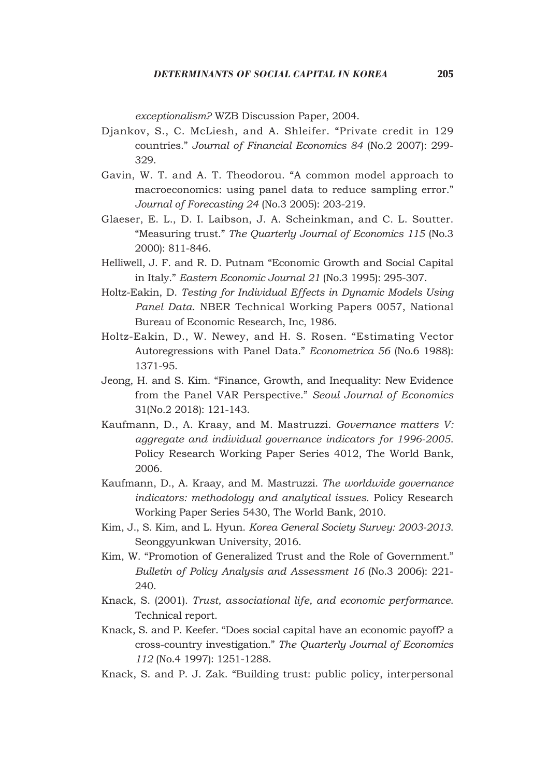*exceptionalism?* WZB Discussion Paper, 2004.

- Djankov, S., C. McLiesh, and A. Shleifer. "Private credit in 129 countries." *Journal of Financial Economics 84* (No.2 2007): 299- 329.
- Gavin, W. T. and A. T. Theodorou. "A common model approach to macroeconomics: using panel data to reduce sampling error." *Journal of Forecasting 24* (No.3 2005): 203-219.
- Glaeser, E. L., D. I. Laibson, J. A. Scheinkman, and C. L. Soutter. "Measuring trust." *The Quarterly Journal of Economics 115* (No.3 2000): 811-846.
- Helliwell, J. F. and R. D. Putnam "Economic Growth and Social Capital in Italy." *Eastern Economic Journal 21* (No.3 1995): 295-307.
- Holtz-Eakin, D. *Testing for Individual Effects in Dynamic Models Using Panel Data*. NBER Technical Working Papers 0057, National Bureau of Economic Research, Inc, 1986.
- Holtz-Eakin, D., W. Newey, and H. S. Rosen. "Estimating Vector Autoregressions with Panel Data." *Econometrica 56* (No.6 1988): 1371-95.
- Jeong, H. and S. Kim. "Finance, Growth, and Inequality: New Evidence from the Panel VAR Perspective." *Seoul Journal of Economics* 31(No.2 2018): 121-143.
- Kaufmann, D., A. Kraay, and M. Mastruzzi. *Governance matters V: aggregate and individual governance indicators for 1996-2005*. Policy Research Working Paper Series 4012, The World Bank, 2006.
- Kaufmann, D., A. Kraay, and M. Mastruzzi. *The worldwide governance indicators: methodology and analytical issues.* Policy Research Working Paper Series 5430, The World Bank, 2010.
- Kim, J., S. Kim, and L. Hyun. *Korea General Society Survey: 2003-2013*. Seonggyunkwan University, 2016.
- Kim, W. "Promotion of Generalized Trust and the Role of Government." *Bulletin of Policy Analysis and Assessment 16* (No.3 2006): 221- 240.
- Knack, S. (2001). *Trust, associational life, and economic performance*. Technical report.
- Knack, S. and P. Keefer. "Does social capital have an economic payoff? a cross-country investigation." *The Quarterly Journal of Economics 112* (No.4 1997): 1251-1288.
- Knack, S. and P. J. Zak. "Building trust: public policy, interpersonal